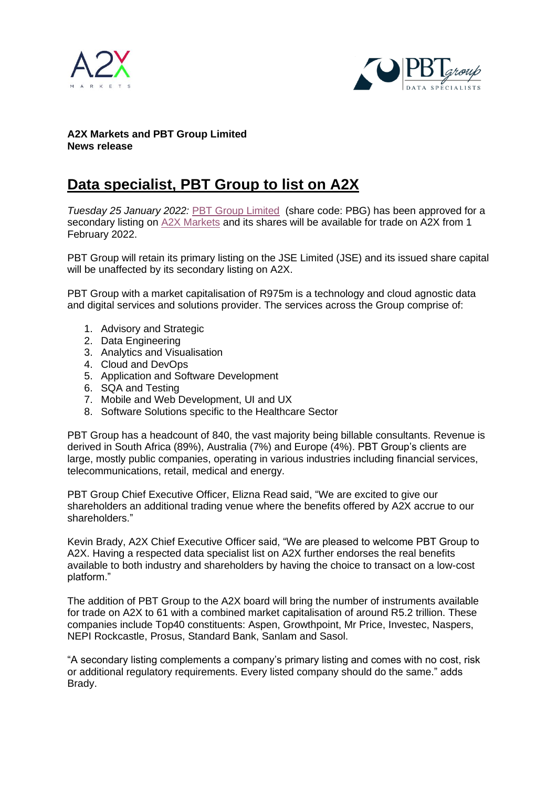



## **A2X Markets and PBT Group Limited News release**

## **Data specialist, PBT Group to list on A2X**

*Tuesday 25 January 2022:* [PBT Group Limited](https://www.pbtgroup.co.za/) (share code: PBG) has been approved for a secondary listing on [A2X Markets](http://www.a2x.co.za/) and its shares will be available for trade on A2X from 1 February 2022.

PBT Group will retain its primary listing on the JSE Limited (JSE) and its issued share capital will be unaffected by its secondary listing on A2X.

PBT Group with a market capitalisation of R975m is a technology and cloud agnostic data and digital services and solutions provider. The services across the Group comprise of:

- 1. Advisory and Strategic
- 2. Data Engineering
- 3. Analytics and Visualisation
- 4. Cloud and DevOps
- 5. Application and Software Development
- 6. SQA and Testing
- 7. Mobile and Web Development, UI and UX
- 8. Software Solutions specific to the Healthcare Sector

PBT Group has a headcount of 840, the vast majority being billable consultants. Revenue is derived in South Africa (89%), Australia (7%) and Europe (4%). PBT Group's clients are large, mostly public companies, operating in various industries including financial services, telecommunications, retail, medical and energy.

PBT Group Chief Executive Officer, Elizna Read said, "We are excited to give our shareholders an additional trading venue where the benefits offered by A2X accrue to our shareholders."

Kevin Brady, A2X Chief Executive Officer said, "We are pleased to welcome PBT Group to A2X. Having a respected data specialist list on A2X further endorses the real benefits available to both industry and shareholders by having the choice to transact on a low-cost platform."

The addition of PBT Group to the A2X board will bring the number of instruments available for trade on A2X to 61 with a combined market capitalisation of around R5.2 trillion. These companies include Top40 constituents: Aspen, Growthpoint, Mr Price, Investec, Naspers, NEPI Rockcastle, Prosus, Standard Bank, Sanlam and Sasol.

"A secondary listing complements a company's primary listing and comes with no cost, risk or additional regulatory requirements. Every listed company should do the same." adds Brady.